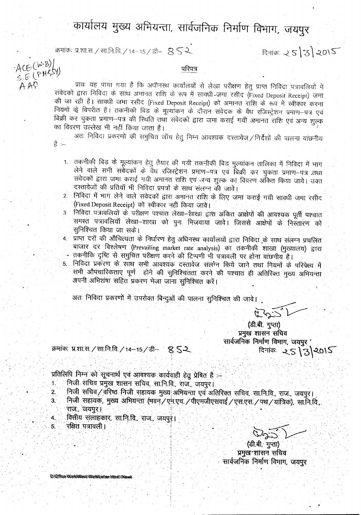## कार्यालय मुख्य अभियन्ता, सार्वजनिक निर्माण विभाग, जयपुर

क्रमांकः प्र.शा.स. / सा.नि.वि. / 14-15 / डी–  $S \leq 2$ 

AAO

है :--

दिनांकः  $25|3|2015$ 

परिपत्र

ACE (W.B)]<br>S.E (PMRSY) प्रायः यह पाया गया है कि अधीनस्थ कार्यालयों से लेखा परीक्षण हेतु प्राप्त निविदा पत्रावलियों में संवेदकों द्वारा निविदा के साथ अमानत राशि के रूप में साक्धी जमा रसीद (Fixed Deposit Receipt) जमा की जा रही है। सावधी जमा रसीद (Fixed Deposit Receipt) को अमानत राशि के रूप में स्वीकार करना नियमों के विपरीत है। तकनीकी बिड के मूल्यांकन के दौरान संवेदक के वैध रजिस्ट्रेशन प्रमाण-पत्र एवं बिक्री कर चुकता प्रमाण-पत्र की स्थिति तथा संवेदकों द्वारा जमा कराई गयी अमानत राशि एवं अन्य शुल्क का विवरण उल्लेख भी नहीं किया जाता है।

अतः निर्विदा प्रकरणों की समुचित जॉच हेतु निम्न आवश्यक दस्तावेज / निर्देशों की पालना वांछनीय

- 1. तकनीकी बिड के मूल्यांकन हेतु तैयार की गयी तकनीकी बिड मुल्यांकन तालिका में निविदा में भांग लेने वाले सभी संवेदकों के वैध रजिस्ट्रेशन प्रमाण-पत्र एवं बिक्री कर चुकता प्रमाण-पत्र तथा संवेदकों द्वारा जमा कराई गयी अमानत राशि एवं अन्य शुल्क का विवरण अंकित किया जावे। उक्त दस्तावेजों की प्रतियाँ भी निविदा प्रपत्रों के साथ संलग्न की जावे।
- 2. निविदा में भाग लेने वाले संवेदकों द्वारा अमानत राशि के लिए जमा कराई गयी सावधी जमा रसीद (Fixed Deposit Receipt) को स्वीकार नहीं किया जावे।
- निविदा पत्रावलियों के परीक्षण पश्चात लेखा—शाखा द्वांश अंकित आक्षेपों की आवश्यक पूर्ती पश्चात  $3<sub>1</sub>$ समस्त पत्रावलियाँ लेखा-शाखा को पुनः भिजवाया जावे। जिससे आक्षेपों के निस्तारण को सुनिश्चित किया जा सके।
- 4. प्राप्त दरों की औचित्यता के निर्धारण हेतु अधिनस्थ कार्यालयों द्वारा निविदा के साथ संलग्न प्रचलित बाजार दर विश्लेषण (Prevailing market rate analysis) का तकनीकी शाखा (मुख्यालय) द्वारा तकनीकि दृष्टि से समुचित परीक्षण करने की टिप्पणी भी पत्रावली पर होना वाछनीय है।
- 5. निविदा प्रकरण के साथ सभी आवश्यक दस्तावेज संलग्न किये जाने तथा नियमों के परिपेक्ष्य में सभी औपचारिकताएं पूर्ण होने की सुनिश्चितता करने की पश्चात ही अतिरिक्त मुख्य अभियन्ता अपनी अभिशंषा सहित प्रकरण भेजा जाना सुनिश्चित करें।

अतः निविदा प्रकरणों में उपरोक्त बिन्दुओं की पालना सुनिश्चित की जावे।

52522

(डी.बी. गुप्ता) प्रमुख शासन सचिव सार्वजनिक निर्माण विभाग, जयपुर '  $5 - 25/3$  2015

क्रमांकः प्र.शा.स. / सा.नि.वि. / 14-15 / डी- 8 52

प्रतिलिपि निम्न को सूचनार्थ एवं आवश्यक कार्यवाही हेतु प्रेषित है :-

- निजी सचिव प्रमुख शासन सचिव, सा.नि.वि., राज., जयपुर।  $1.$
- निजी सचिव/वरिष्ठ निजी सहायक मुख्य अभियन्ता एवं अतिरिक्त सचिव, सानि.वि., राज., जयपुर। 2. निजी सहायक, मुख्य अभियन्ता (भवन् / एन.एच. / पीएमजीएसवाई / एस.एस. / पथ / यांत्रिक), सा.नि.वि.,  $3$ . राज., जयपुर:।
	- वित्तीय संलाहकार, सा.नि.वि., राज., जयपुरु। रक्षित पत्रावली।

(डी.बी. गुप्ता) प्रमुख शासन सचिव सार्वजनिक निर्माण विभाग, जयपुर

D) Office WorkWork WorkWester Himili (New)

 $\overline{\mathbf{4}}$ .

 $5.$